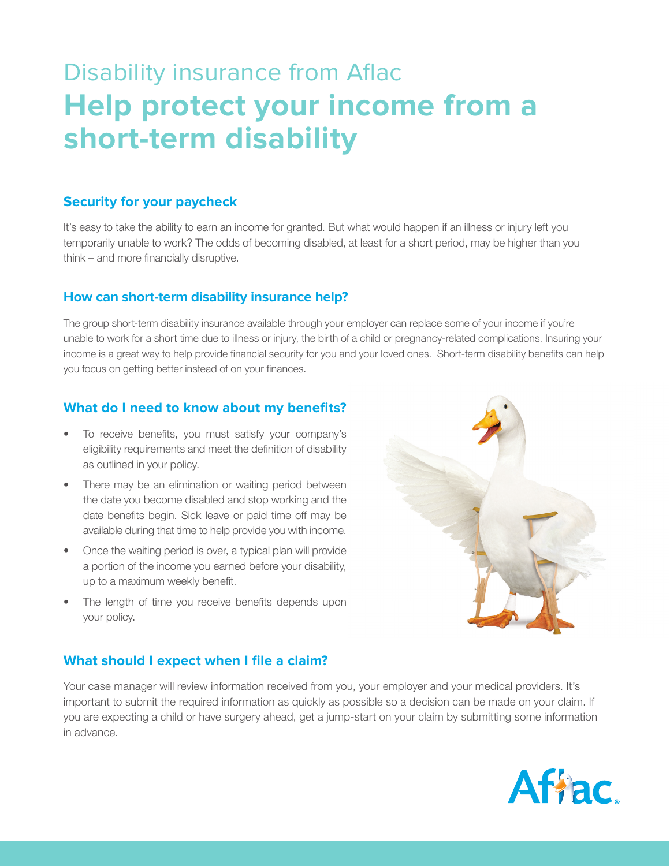# Disability insurance from Aflac **Help protect your income from a short-term disability**

## **Security for your paycheck**

It's easy to take the ability to earn an income for granted. But what would happen if an illness or injury left you temporarily unable to work? The odds of becoming disabled, at least for a short period, may be higher than you  $think - and more financially distribute.$ 

## **How can short-term disability insurance help?**

The group short-term disability insurance available through your employer can replace some of your income if you're unable to work for a short time due to illness or injury, the birth of a child or pregnancy-related complications. Insuring your income is a great way to help provide financial security for you and your loved ones. Short-term disability benefits can help you focus on getting better instead of on your finances.

## **What do I need to know about my benefits?**

- To receive benefits, you must satisfy your company's eligibility requirements and meet the definition of disability as outlined in your policy.
- There may be an elimination or waiting period between the date you become disabled and stop working and the date benefits begin. Sick leave or paid time off may be available during that time to help provide you with income.
- Once the waiting period is over, a typical plan will provide a portion of the income you earned before your disability, up to a maximum weekly benefit.
- The length of time you receive benefits depends upon your policy.



## **What should I expect when I file a claim?**

Your case manager will review information received from you, your employer and your medical providers. It's important to submit the required information as quickly as possible so a decision can be made on your claim. If you are expecting a child or have surgery ahead, get a jump-start on your claim by submitting some information in advance.

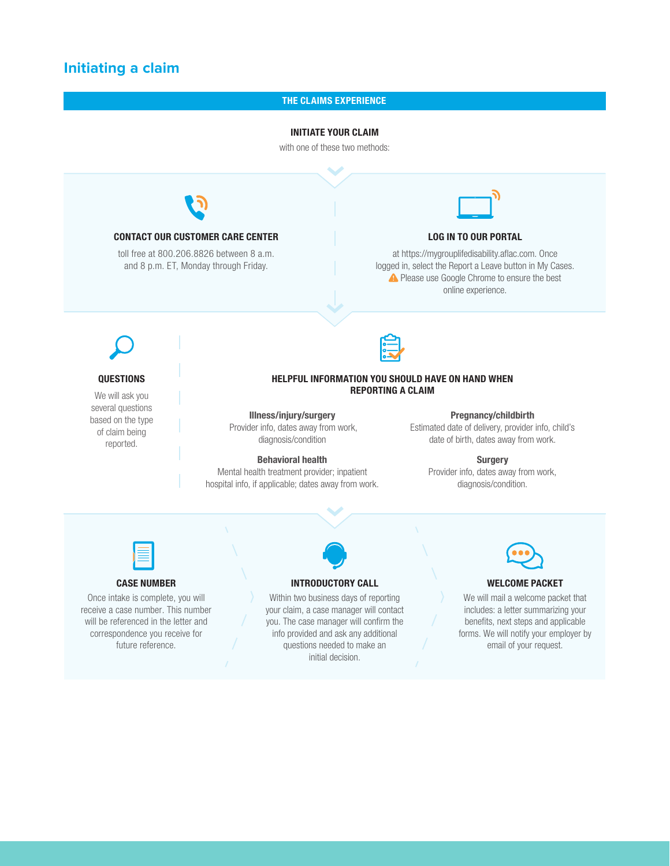## **Initiating a claim**

#### THE CLAIMS EXPERIENCE

#### INITIATE YOUR CLAIM

with one of these two methods:



#### CASE NUMBER

Once intake is complete, you will receive a case number. This number will be referenced in the letter and correspondence you receive for future reference.

#### INTRODUCTORY CALL

Within two business days of reporting your claim, a case manager will contact you. The case manager will confirm the info provided and ask any additional questions needed to make an initial decision.



#### WELCOME PACKET

We will mail a welcome packet that includes: a letter summarizing your benefits, next steps and applicable forms. We will notify your employer by email of your request.